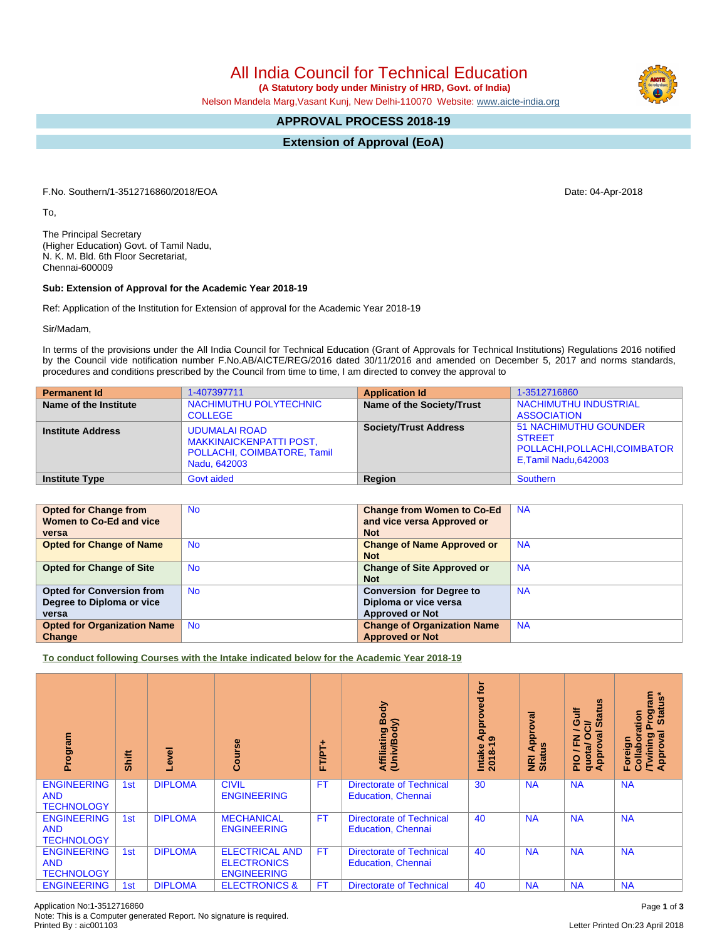All India Council for Technical Education

 **(A Statutory body under Ministry of HRD, Govt. of India)**

Nelson Mandela Marg,Vasant Kunj, New Delhi-110070 Website: www.aicte-india.org

## **APPROVAL PROCESS 2018-19**

**Extension of Approval (EoA)**

F.No. Southern/1-3512716860/2018/EOA Date: 04-Apr-2018

To,

The Principal Secretary (Higher Education) Govt. of Tamil Nadu, N. K. M. Bld. 6th Floor Secretariat, Chennai-600009

## **Sub: Extension of Approval for the Academic Year 2018-19**

Ref: Application of the Institution for Extension of approval for the Academic Year 2018-19

Sir/Madam,

In terms of the provisions under the All India Council for Technical Education (Grant of Approvals for Technical Institutions) Regulations 2016 notified by the Council vide notification number F.No.AB/AICTE/REG/2016 dated 30/11/2016 and amended on December 5, 2017 and norms standards, procedures and conditions prescribed by the Council from time to time, I am directed to convey the approval to

| <b>Permanent Id</b>      | 1-407397711                                                                                           | <b>Application Id</b>        | 1-3512716860                                                                                          |
|--------------------------|-------------------------------------------------------------------------------------------------------|------------------------------|-------------------------------------------------------------------------------------------------------|
| Name of the Institute    | NACHIMUTHU POLYTECHNIC<br><b>COLLEGE</b>                                                              | Name of the Society/Trust    | <b>NACHIMUTHU INDUSTRIAL</b><br><b>ASSOCIATION</b>                                                    |
| <b>Institute Address</b> | <b>UDUMALAI ROAD</b><br><b>MAKKINAICKENPATTI POST,</b><br>POLLACHI, COIMBATORE, Tamil<br>Nadu, 642003 | <b>Society/Trust Address</b> | <b>51 NACHIMUTHU GOUNDER</b><br><b>STREET</b><br>POLLACHI, POLLACHI, COIMBATOR<br>E,Tamil Nadu,642003 |
| <b>Institute Type</b>    | <b>Govt aided</b>                                                                                     | Region                       | Southern                                                                                              |

| <b>Opted for Change from</b>       | <b>No</b> | <b>Change from Women to Co-Ed</b>  | <b>NA</b> |
|------------------------------------|-----------|------------------------------------|-----------|
| Women to Co-Ed and vice            |           | and vice versa Approved or         |           |
| versa                              |           | <b>Not</b>                         |           |
| <b>Opted for Change of Name</b>    | <b>No</b> | <b>Change of Name Approved or</b>  | <b>NA</b> |
|                                    |           | <b>Not</b>                         |           |
| <b>Opted for Change of Site</b>    | <b>No</b> | <b>Change of Site Approved or</b>  | <b>NA</b> |
|                                    |           | <b>Not</b>                         |           |
| <b>Opted for Conversion from</b>   | <b>No</b> | <b>Conversion for Degree to</b>    | <b>NA</b> |
| Degree to Diploma or vice          |           | Diploma or vice versa              |           |
| versa                              |           | <b>Approved or Not</b>             |           |
| <b>Opted for Organization Name</b> | <b>No</b> | <b>Change of Organization Name</b> | <b>NA</b> |
| Change                             |           | <b>Approved or Not</b>             |           |

**To conduct following Courses with the Intake indicated below for the Academic Year 2018-19**

| Program                                               | Shift | Level          | rse<br><b>Cou</b>                                                 | FTPT+     | Body<br>Affiliating Book<br>(Univ/Body)                      | tor<br>yed<br>ppro<br>ৰ<br>ၜ<br>$2018 - 1$<br>Intake | ड़<br>Approv<br><b>NRI Ap</b><br>Status | <b>S</b><br>青<br><b>State</b><br>$\ddot{\circ}$<br>້៰<br>∽<br>0<br>g<br>준<br>quota/<br>Approv<br>$rac{1}{2}$ | <b>rogram</b><br>Status*<br>Collaboration<br>त्व<br><b>Twining</b><br>Approval<br>Foreign |
|-------------------------------------------------------|-------|----------------|-------------------------------------------------------------------|-----------|--------------------------------------------------------------|------------------------------------------------------|-----------------------------------------|--------------------------------------------------------------------------------------------------------------|-------------------------------------------------------------------------------------------|
| <b>ENGINEERING</b><br><b>AND</b><br><b>TECHNOLOGY</b> | 1st   | <b>DIPLOMA</b> | <b>CIVIL</b><br><b>ENGINEERING</b>                                | <b>FT</b> | <b>Directorate of Technical</b><br><b>Education, Chennai</b> | 30                                                   | <b>NA</b>                               | <b>NA</b>                                                                                                    | <b>NA</b>                                                                                 |
| <b>ENGINEERING</b><br><b>AND</b><br><b>TECHNOLOGY</b> | 1st   | <b>DIPLOMA</b> | <b>MECHANICAL</b><br><b>ENGINEERING</b>                           | <b>FT</b> | <b>Directorate of Technical</b><br><b>Education, Chennai</b> | 40                                                   | <b>NA</b>                               | <b>NA</b>                                                                                                    | <b>NA</b>                                                                                 |
| <b>ENGINEERING</b><br><b>AND</b><br><b>TECHNOLOGY</b> | 1st   | <b>DIPLOMA</b> | <b>ELECTRICAL AND</b><br><b>ELECTRONICS</b><br><b>ENGINEERING</b> | FT.       | <b>Directorate of Technical</b><br><b>Education, Chennai</b> | 40                                                   | <b>NA</b>                               | <b>NA</b>                                                                                                    | <b>NA</b>                                                                                 |
| <b>ENGINEERING</b>                                    | 1st   | <b>DIPLOMA</b> | <b>ELECTRONICS &amp;</b>                                          | FT        | <b>Directorate of Technical</b>                              | 40                                                   | <b>NA</b>                               | <b>NA</b>                                                                                                    | <b>NA</b>                                                                                 |

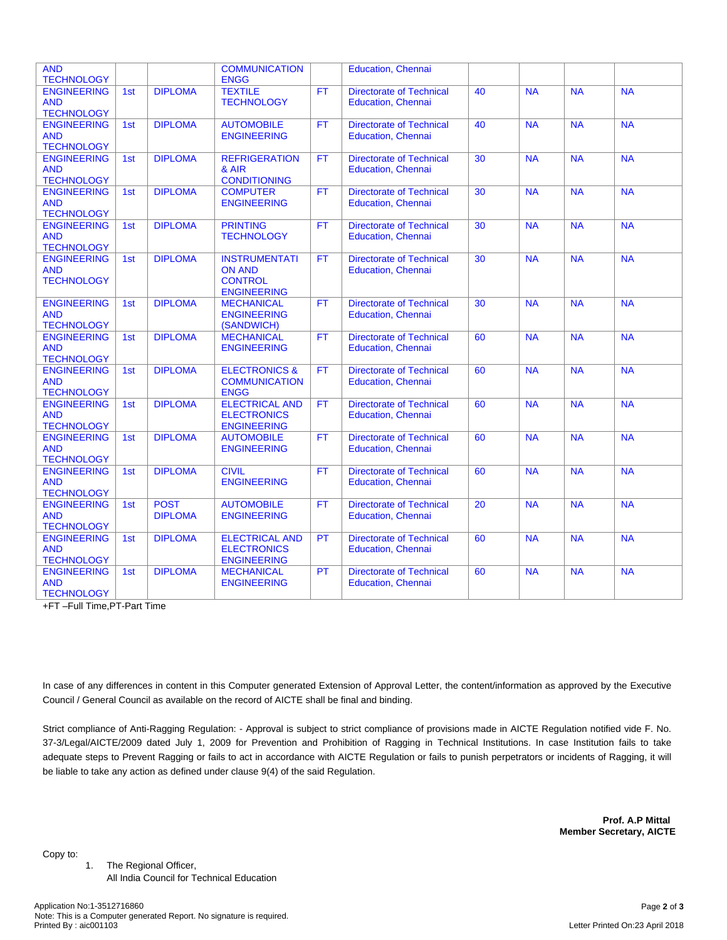| <b>AND</b>                                                                 |     |                | <b>COMMUNICATION</b>                                          |           | Education, Chennai                                           |    |                |           |           |
|----------------------------------------------------------------------------|-----|----------------|---------------------------------------------------------------|-----------|--------------------------------------------------------------|----|----------------|-----------|-----------|
| <b>TECHNOLOGY</b><br><b>ENGINEERING</b>                                    | 1st | <b>DIPLOMA</b> | <b>ENGG</b><br><b>TEXTILE</b>                                 | <b>FT</b> | <b>Directorate of Technical</b>                              | 40 | <b>NA</b>      | <b>NA</b> | <b>NA</b> |
| <b>AND</b>                                                                 |     |                | <b>TECHNOLOGY</b>                                             |           | <b>Education, Chennai</b>                                    |    |                |           |           |
| <b>TECHNOLOGY</b>                                                          |     |                |                                                               |           |                                                              |    |                |           |           |
| <b>ENGINEERING</b>                                                         | 1st | <b>DIPLOMA</b> | <b>AUTOMOBILE</b>                                             | <b>FT</b> | <b>Directorate of Technical</b>                              | 40 | <b>NA</b>      | <b>NA</b> | <b>NA</b> |
| <b>AND</b>                                                                 |     |                | <b>ENGINEERING</b>                                            |           | <b>Education, Chennai</b>                                    |    |                |           |           |
| <b>TECHNOLOGY</b>                                                          |     |                |                                                               |           |                                                              |    |                |           |           |
| <b>ENGINEERING</b>                                                         | 1st | <b>DIPLOMA</b> | <b>REFRIGERATION</b>                                          | <b>FT</b> | <b>Directorate of Technical</b>                              | 30 | <b>NA</b>      | <b>NA</b> | <b>NA</b> |
| <b>AND</b>                                                                 |     |                | & AIR                                                         |           | <b>Education, Chennai</b>                                    |    |                |           |           |
| <b>TECHNOLOGY</b>                                                          |     |                | <b>CONDITIONING</b>                                           |           |                                                              |    |                |           |           |
| <b>ENGINEERING</b><br><b>AND</b>                                           | 1st | <b>DIPLOMA</b> | <b>COMPUTER</b><br><b>ENGINEERING</b>                         | <b>FT</b> | <b>Directorate of Technical</b><br>Education, Chennai        | 30 | <b>NA</b>      | <b>NA</b> | <b>NA</b> |
| <b>TECHNOLOGY</b>                                                          |     |                |                                                               |           |                                                              |    |                |           |           |
| <b>ENGINEERING</b>                                                         | 1st | <b>DIPLOMA</b> | <b>PRINTING</b>                                               | <b>FT</b> | <b>Directorate of Technical</b>                              | 30 | <b>NA</b>      | <b>NA</b> | <b>NA</b> |
| <b>AND</b>                                                                 |     |                | <b>TECHNOLOGY</b>                                             |           | <b>Education, Chennai</b>                                    |    |                |           |           |
| <b>TECHNOLOGY</b>                                                          |     |                |                                                               |           |                                                              |    |                |           |           |
| <b>ENGINEERING</b>                                                         | 1st | <b>DIPLOMA</b> | <b>INSTRUMENTATI</b>                                          | <b>FT</b> | <b>Directorate of Technical</b>                              | 30 | <b>NA</b>      | <b>NA</b> | <b>NA</b> |
| <b>AND</b>                                                                 |     |                | <b>ON AND</b>                                                 |           | <b>Education, Chennai</b>                                    |    |                |           |           |
| <b>TECHNOLOGY</b>                                                          |     |                | <b>CONTROL</b>                                                |           |                                                              |    |                |           |           |
|                                                                            |     |                | <b>ENGINEERING</b>                                            |           |                                                              |    |                |           |           |
| <b>ENGINEERING</b>                                                         | 1st | <b>DIPLOMA</b> | <b>MECHANICAL</b>                                             | <b>FT</b> | <b>Directorate of Technical</b>                              | 30 | N <sub>A</sub> | <b>NA</b> | <b>NA</b> |
| <b>AND</b><br><b>TECHNOLOGY</b>                                            |     |                | <b>ENGINEERING</b>                                            |           | <b>Education, Chennai</b>                                    |    |                |           |           |
| <b>ENGINEERING</b>                                                         | 1st | <b>DIPLOMA</b> | (SANDWICH)<br><b>MECHANICAL</b>                               | <b>FT</b> | <b>Directorate of Technical</b>                              | 60 | <b>NA</b>      | <b>NA</b> | <b>NA</b> |
| <b>AND</b>                                                                 |     |                | <b>ENGINEERING</b>                                            |           | <b>Education, Chennai</b>                                    |    |                |           |           |
| <b>TECHNOLOGY</b>                                                          |     |                |                                                               |           |                                                              |    |                |           |           |
| <b>ENGINEERING</b>                                                         | 1st | <b>DIPLOMA</b> | <b>ELECTRONICS &amp;</b>                                      | <b>FT</b> | <b>Directorate of Technical</b>                              | 60 | <b>NA</b>      | <b>NA</b> | <b>NA</b> |
| <b>AND</b>                                                                 |     |                | <b>COMMUNICATION</b>                                          |           | <b>Education, Chennai</b>                                    |    |                |           |           |
| <b>TECHNOLOGY</b>                                                          |     |                | <b>ENGG</b>                                                   |           |                                                              |    |                |           |           |
| <b>ENGINEERING</b>                                                         | 1st | <b>DIPLOMA</b> | <b>ELECTRICAL AND</b>                                         | <b>FT</b> | <b>Directorate of Technical</b>                              | 60 | N <sub>A</sub> | <b>NA</b> | <b>NA</b> |
| <b>AND</b>                                                                 |     |                | <b>ELECTRONICS</b>                                            |           | Education, Chennai                                           |    |                |           |           |
| <b>TECHNOLOGY</b>                                                          |     |                | <b>ENGINEERING</b>                                            |           |                                                              |    |                |           |           |
| <b>ENGINEERING</b>                                                         | 1st | <b>DIPLOMA</b> | <b>AUTOMOBILE</b>                                             | <b>FT</b> | <b>Directorate of Technical</b>                              | 60 | <b>NA</b>      | <b>NA</b> | <b>NA</b> |
| <b>AND</b><br><b>TECHNOLOGY</b>                                            |     |                | <b>ENGINEERING</b>                                            |           | Education, Chennai                                           |    |                |           |           |
| <b>ENGINEERING</b>                                                         | 1st | <b>DIPLOMA</b> | <b>CIVIL</b>                                                  | <b>FT</b> | <b>Directorate of Technical</b>                              | 60 | <b>NA</b>      | <b>NA</b> | <b>NA</b> |
| <b>AND</b>                                                                 |     |                | <b>ENGINEERING</b>                                            |           | <b>Education, Chennai</b>                                    |    |                |           |           |
| <b>TECHNOLOGY</b>                                                          |     |                |                                                               |           |                                                              |    |                |           |           |
| <b>ENGINEERING</b>                                                         | 1st | <b>POST</b>    | <b>AUTOMOBILE</b>                                             | <b>FT</b> | <b>Directorate of Technical</b>                              | 20 | N <sub>A</sub> | <b>NA</b> | <b>NA</b> |
| <b>AND</b>                                                                 |     | <b>DIPLOMA</b> | <b>ENGINEERING</b>                                            |           | <b>Education, Chennai</b>                                    |    |                |           |           |
| <b>TECHNOLOGY</b>                                                          |     |                |                                                               |           |                                                              |    |                |           |           |
| <b>ENGINEERING</b>                                                         | 1st | <b>DIPLOMA</b> | <b>ELECTRICAL AND</b>                                         | PT        | <b>Directorate of Technical</b>                              | 60 | <b>NA</b>      | <b>NA</b> | <b>NA</b> |
| <b>AND</b>                                                                 |     |                | <b>ELECTRONICS</b>                                            |           | Education, Chennai                                           |    |                |           |           |
|                                                                            |     |                |                                                               |           |                                                              |    |                |           |           |
|                                                                            |     |                |                                                               |           |                                                              |    |                |           |           |
|                                                                            |     |                |                                                               |           |                                                              |    |                |           |           |
| <b>TECHNOLOGY</b><br><b>ENGINEERING</b><br><b>AND</b><br><b>TECHNOLOGY</b> | 1st | <b>DIPLOMA</b> | <b>ENGINEERING</b><br><b>MECHANICAL</b><br><b>ENGINEERING</b> | <b>PT</b> | <b>Directorate of Technical</b><br><b>Education, Chennai</b> | 60 | <b>NA</b>      | <b>NA</b> | <b>NA</b> |

+FT –Full Time,PT-Part Time

In case of any differences in content in this Computer generated Extension of Approval Letter, the content/information as approved by the Executive Council / General Council as available on the record of AICTE shall be final and binding.

Strict compliance of Anti-Ragging Regulation: - Approval is subject to strict compliance of provisions made in AICTE Regulation notified vide F. No. 37-3/Legal/AICTE/2009 dated July 1, 2009 for Prevention and Prohibition of Ragging in Technical Institutions. In case Institution fails to take adequate steps to Prevent Ragging or fails to act in accordance with AICTE Regulation or fails to punish perpetrators or incidents of Ragging, it will be liable to take any action as defined under clause 9(4) of the said Regulation.

> **Prof. A.P Mittal Member Secretary, AICTE**

Copy to:

1. The Regional Officer, All India Council for Technical Education